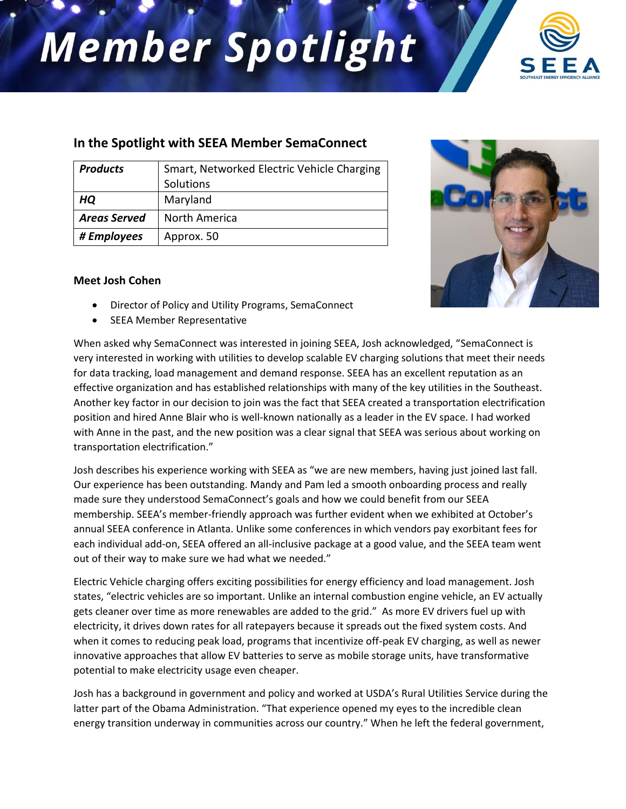## **Member Spotlight**



## **In the Spotlight with SEEA Member SemaConnect**

| <b>Products</b>     | Smart, Networked Electric Vehicle Charging<br>Solutions |
|---------------------|---------------------------------------------------------|
| HQ                  | Maryland                                                |
| <b>Areas Served</b> | North America                                           |
| # Employees         | Approx. 50                                              |

## **Meet Josh Cohen**

- Director of Policy and Utility Programs, SemaConnect
- SEEA Member Representative

When asked why SemaConnect was interested in joining SEEA, Josh acknowledged, "SemaConnect is very interested in working with utilities to develop scalable EV charging solutions that meet their needs for data tracking, load management and demand response. SEEA has an excellent reputation as an effective organization and has established relationships with many of the key utilities in the Southeast. Another key factor in our decision to join was the fact that SEEA created a transportation electrification position and hired Anne Blair who is well-known nationally as a leader in the EV space. I had worked with Anne in the past, and the new position was a clear signal that SEEA was serious about working on transportation electrification."

Josh describes his experience working with SEEA as "we are new members, having just joined last fall. Our experience has been outstanding. Mandy and Pam led a smooth onboarding process and really made sure they understood SemaConnect's goals and how we could benefit from our SEEA membership. SEEA's member-friendly approach was further evident when we exhibited at October's annual SEEA conference in Atlanta. Unlike some conferences in which vendors pay exorbitant fees for each individual add-on, SEEA offered an all-inclusive package at a good value, and the SEEA team went out of their way to make sure we had what we needed."

Electric Vehicle charging offers exciting possibilities for energy efficiency and load management. Josh states, "electric vehicles are so important. Unlike an internal combustion engine vehicle, an EV actually gets cleaner over time as more renewables are added to the grid." As more EV drivers fuel up with electricity, it drives down rates for all ratepayers because it spreads out the fixed system costs. And when it comes to reducing peak load, programs that incentivize off-peak EV charging, as well as newer innovative approaches that allow EV batteries to serve as mobile storage units, have transformative potential to make electricity usage even cheaper.

Josh has a background in government and policy and worked at USDA's Rural Utilities Service during the latter part of the Obama Administration. "That experience opened my eyes to the incredible clean energy transition underway in communities across our country." When he left the federal government,